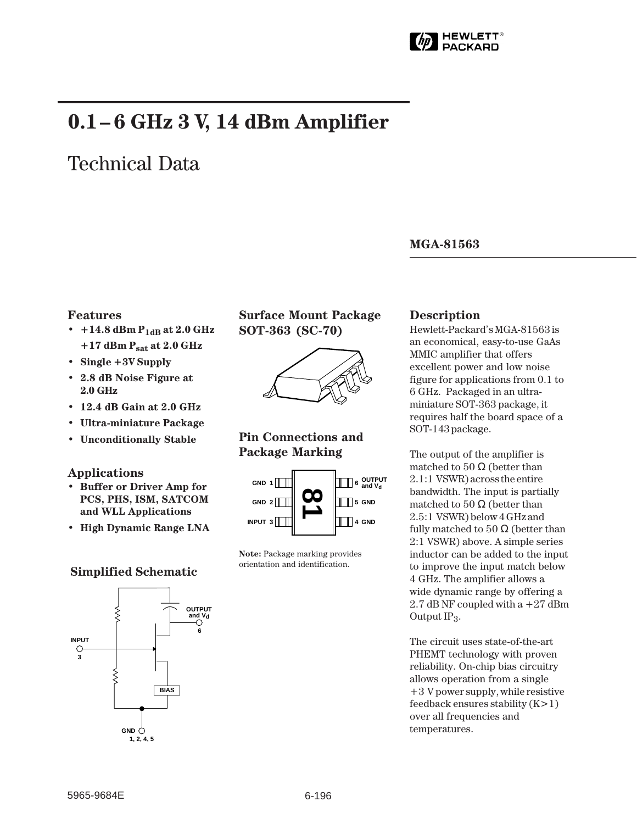

# **0.1– 6 GHz 3 V, 14 dBm Amplifier**

# Technical Data

## **MGA-81563**

## **Features**

- $+14.8$  dBm  $P_{1dB}$  at 2.0 GHz **+17 dBm Psat at 2.0 GHz**
- **Single +3V Supply**
- **2.8 dB Noise Figure at 2.0␣ GHz**
- **12.4 dB Gain at 2.0 GHz**
- **Ultra-miniature Package**
- **Unconditionally Stable**

## **Applications**

- **Buffer or Driver Amp for PCS, PHS, ISM, SATCOM and WLL Applications**
- **High Dynamic Range LNA**

# **Simplified Schematic**



**Surface Mount Package SOT-363 (SC-70)**



# **Pin Connections and Package Marking**



**Note:** Package marking provides orientation and identification.

## **Description**

Hewlett-Packard's MGA-81563 is an economical, easy-to-use GaAs MMIC amplifier that offers excellent power and low noise figure for applications from 0.1 to 6 GHz. Packaged in an ultraminiature SOT-363 package, it requires half the board space of a SOT-143 package.

The output of the amplifier is matched to  $50 \Omega$  (better than 2.1:1␣ VSWR) across the entire bandwidth. The input is partially matched to  $50 \Omega$  (better than 2.5:1␣ VSWR) below 4 GHz and fully matched to  $50 \Omega$  (better than 2:1 VSWR) above. A simple series inductor can be added to the input to improve the input match below 4 GHz. The amplifier allows a wide dynamic range by offering a 2.7 dB NF coupled with  $a + 27$  dBm Output  $IP_3$ .

The circuit uses state-of-the-art PHEMT technology with proven reliability. On-chip bias circuitry allows operation from a single  $+3$  V power supply, while resistive feedback ensures stability (K>1) over all frequencies and temperatures.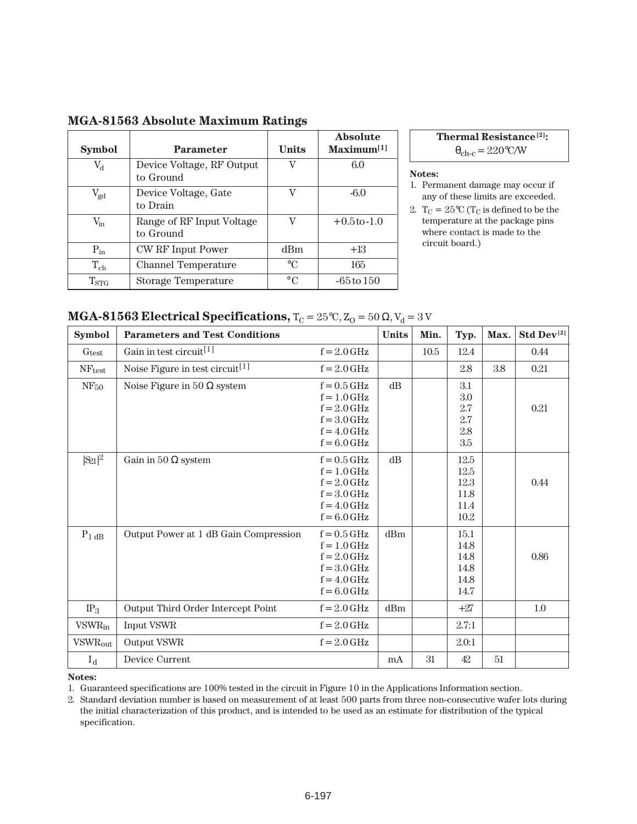| <b>Symbol</b>      | <b>Parameter</b>                       | <b>Units</b> | Absolute<br>Maximum <sup>[1]</sup> |
|--------------------|----------------------------------------|--------------|------------------------------------|
| $V_{d}$            | Device Voltage, RF Output<br>to Ground | V            | 6.0                                |
| $V_{gd}$           | Device Voltage, Gate<br>to Drain       | V            | $-6.0$                             |
| $V_{\rm in}$       | Range of RF Input Voltage<br>to Ground | V            | $+0.5$ to $-1.0$                   |
| $P_{in}$           | CW RF Input Power                      | dBm          | $+13$                              |
| $T_{ch}$           | Channel Temperature                    | $\circ$ C    | 165                                |
| $\mathrm{T_{STG}}$ | Storage Temperature                    | $\circ$ C    | $-65$ to $150$                     |

## **MGA-81563 Absolute Maximum Ratings**

**Thermal Resistance[2]:**  $\theta_{\rm ch-c} = 220 \text{°C/W}$ 

#### **Notes:**

- 1. Permanent damage may occur if any of these limits are exceeded.
- 2.  $T_C = 25^{\circ}C$  ( $T_C$  is defined to be the temperature at the package pins where contact is made to the circuit board.)

| MGA-81563 Electrical Specifications, $T_C = 25^{\circ}C$ , $Z_O = 50 \Omega$ , $V_d = 3 V$ |  |
|--------------------------------------------------------------------------------------------|--|
|--------------------------------------------------------------------------------------------|--|

| <b>Symbol</b>              | <b>Parameters and Test Conditions</b>       |                                                                                                    | <b>Units</b> | Min. | Typ.                                           | Max. | Std Dev <sup>[2]</sup> |
|----------------------------|---------------------------------------------|----------------------------------------------------------------------------------------------------|--------------|------|------------------------------------------------|------|------------------------|
| Gtest                      | Gain in test circuit <sup>[1]</sup>         | $f = 2.0$ GHz                                                                                      |              | 10.5 | 12.4                                           |      | 0.44                   |
| <b>NF</b> test             | Noise Figure in test circuit <sup>[1]</sup> | $f = 2.0$ GHz                                                                                      |              |      | 2.8                                            | 3.8  | 0.21                   |
| NF <sub>50</sub>           | Noise Figure in 50 $\Omega$ system          | $f = 0.5$ GHz<br>$f = 1.0$ GHz<br>$f = 2.0$ GHz<br>$f = 3.0$ GHz<br>$f = 4.0$ GHz<br>$f = 6.0$ GHz | $dB$         |      | 3.1<br>$3.0\,$<br>2.7<br>2.7<br>2.8<br>$3.5\,$ |      | 0.21                   |
| $ S_{21} ^2$               | Gain in 50 $\Omega$ system                  | $f = 0.5$ GHz<br>$f = 1.0$ GHz<br>$f = 2.0$ GHz<br>$f = 3.0$ GHz<br>$f = 4.0$ GHz<br>$f = 6.0$ GHz | dB           |      | 12.5<br>12.5<br>12.3<br>11.8<br>11.4<br>10.2   |      | 0.44                   |
| $P_{1 dB}$                 | Output Power at 1 dB Gain Compression       | $f = 0.5$ GHz<br>$f = 1.0$ GHz<br>$f = 2.0$ GHz<br>$f = 3.0$ GHz<br>$f = 4.0$ GHz<br>$f = 6.0$ GHz | dBm          |      | 15.1<br>14.8<br>14.8<br>14.8<br>14.8<br>14.7   |      | 0.86                   |
| IP <sub>3</sub>            | Output Third Order Intercept Point          | $f = 2.0$ GHz                                                                                      | dBm          |      | $+27$                                          |      | 1.0                    |
| <b>VSWR</b> in             | Input VSWR                                  | $f = 2.0$ GHz                                                                                      |              |      | 2.7:1                                          |      |                        |
| <b>VSWR</b> <sub>out</sub> | Output VSWR                                 | $f = 2.0$ GHz                                                                                      |              |      | 2.0:1                                          |      |                        |
| $I_d$                      | Device Current                              |                                                                                                    | mA           | 31   | 42                                             | 51   |                        |

**Notes:**

1. Guaranteed specifications are 100% tested in the circuit in Figure 10 in the Applications Information section.

2. Standard deviation number is based on measurement of at least 500 parts from three non-consecutive wafer lots during the initial characterization of this product, and is intended to be used as an estimate for distribution of the typical specification.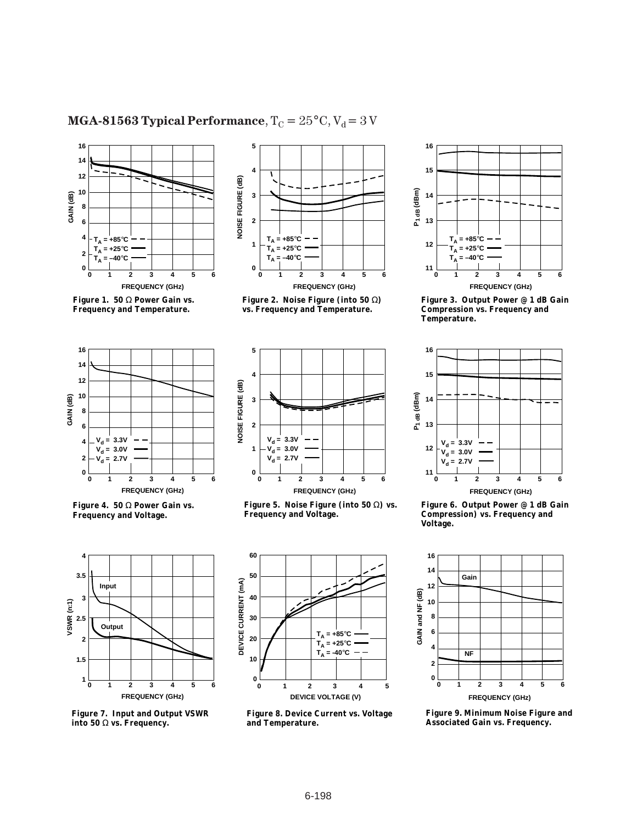# **MGA-81563 Typical Performance**,  $T_C = 25^{\circ}C$ ,  $V_d = 3 V$







**Figure 4. 50** Ω **Power Gain vs. Frequency and Voltage.**



**Figure 7. Input and Output VSWR into 50** Ω **vs. Frequency.**



**Figure 2. Noise Figure (into 50** Ω**) vs. Frequency and Temperature.**



**Figure 5. Noise Figure (into 50** Ω**) vs. Frequency and Voltage.**



**Figure 8. Device Current vs. Voltage and Temperature.**



**Figure 3. Output Power @ 1 dB Gain Compression vs. Frequency and Temperature.**



**Figure 6. Output Power @ 1 dB Gain Compression) vs. Frequency and Voltage.**



**Figure 9. Minimum Noise Figure and Associated Gain vs. Frequency.**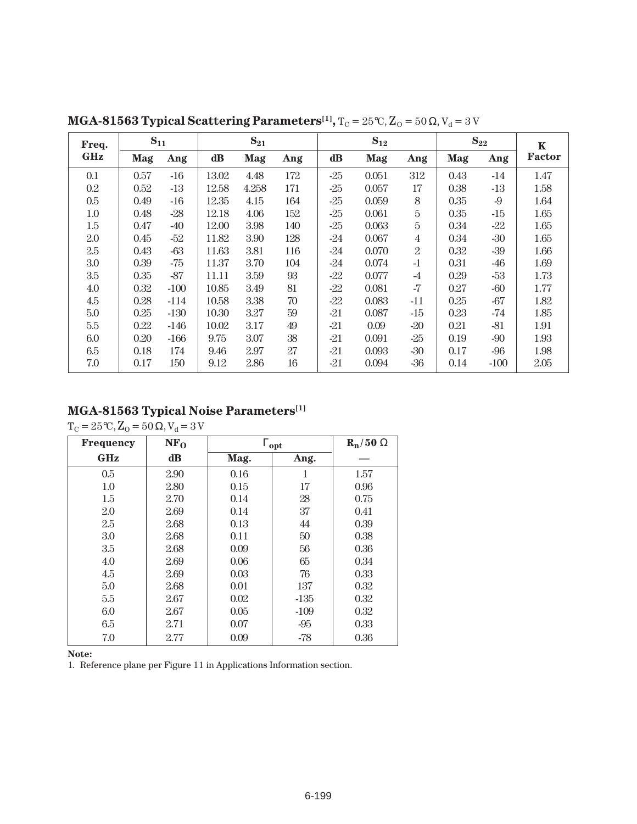| Freq.   | $S_{11}$ |        |       | $S_{21}$ |     | $S_{12}$ |       | $S_{22}$       |      | $\mathbf K$ |               |
|---------|----------|--------|-------|----------|-----|----------|-------|----------------|------|-------------|---------------|
| GHz     | Mag      | Ang    | dB    | Mag      | Ang | dB       | Mag   | Ang            | Mag  | Ang         | <b>Factor</b> |
| 0.1     | 0.57     | $-16$  | 13.02 | 4.48     | 172 | $-25$    | 0.051 | 312            | 0.43 | $-14$       | 1.47          |
| 0.2     | 0.52     | $-13$  | 12.58 | 4.258    | 171 | $-25$    | 0.057 | 17             | 0.38 | -13         | 1.58          |
| $0.5\,$ | 0.49     | $-16$  | 12.35 | 4.15     | 164 | $-25$    | 0.059 | 8              | 0.35 | -9          | 1.64          |
| $1.0\,$ | 0.48     | $-28$  | 12.18 | 4.06     | 152 | $-25$    | 0.061 | 5              | 0.35 | $-15$       | 1.65          |
| 1.5     | 0.47     | $-40$  | 12.00 | 3.98     | 140 | $-25$    | 0.063 | $\overline{5}$ | 0.34 | -22         | 1.65          |
| 2.0     | 0.45     | -52    | 11.82 | 3.90     | 128 | $-24$    | 0.067 | $\overline{4}$ | 0.34 | $-30$       | 1.65          |
| 2.5     | 0.43     | $-63$  | 11.63 | 3.81     | 116 | $-24$    | 0.070 | $\overline{2}$ | 0.32 | $-39$       | 1.66          |
| 3.0     | 0.39     | -75    | 11.37 | 3.70     | 104 | $-24$    | 0.074 | $-1$           | 0.31 | -46         | 1.69          |
| 3.5     | 0.35     | $-87$  | 11.11 | 3.59     | 93  | -22      | 0.077 | $-4$           | 0.29 | $-53$       | 1.73          |
| 4.0     | 0.32     | $-100$ | 10.85 | 3.49     | 81  | $-22$    | 0.081 | $-7$           | 0.27 | $-60$       | 1.77          |
| 4.5     | 0.28     | $-114$ | 10.58 | 3.38     | 70  | -22      | 0.083 | $-11$          | 0.25 | $-67$       | 1.82          |
| 5.0     | 0.25     | $-130$ | 10.30 | 3.27     | 59  | $-21$    | 0.087 | -15            | 0.23 | $-74$       | 1.85          |
| 5.5     | 0.22     | $-146$ | 10.02 | 3.17     | 49  | $-21$    | 0.09  | $-20$          | 0.21 | $-81$       | 1.91          |
| 6.0     | 0.20     | $-166$ | 9.75  | 3.07     | 38  | $-21$    | 0.091 | $-25$          | 0.19 | $-90$       | 1.93          |
| 6.5     | 0.18     | 174    | 9.46  | 2.97     | 27  | $-21$    | 0.093 | $-30$          | 0.17 | -96         | 1.98          |
| 7.0     | 0.17     | 150    | 9.12  | 2.86     | 16  | $-21$    | 0.094 | -36            | 0.14 | $-100$      | 2.05          |

**MGA-81563 Typical Scattering Parameters<sup>[1]</sup>,**  $T_C = 25^\circ \text{C}$ ,  $Z_O = 50 \Omega$ ,  $V_d = 3 V$ 

# **MGA-81563 Typical Noise Parameters[1]**

 $T_C = 25^{\circ}\text{C}, Z_0 = 50 \Omega, V_d = 3 V$ 

| <b>Frequency</b> | NF <sub>O</sub> | $\Gamma_{\text{opt}}$ | $\mathbf{R}_{\mathbf{n}}/50 \Omega$ |      |
|------------------|-----------------|-----------------------|-------------------------------------|------|
| <b>GHz</b>       | $\bf dB$        | Mag.                  | Ang.                                |      |
| 0.5              | 2.90            | 0.16                  | 1                                   | 1.57 |
| 1.0              | 2.80            | 0.15                  | 17                                  | 0.96 |
| 1.5              | 2.70            | 0.14                  | 28                                  | 0.75 |
| 2.0              | 2.69            | 0.14                  | 37                                  | 0.41 |
| 2.5              | 2.68            | 0.13                  | 44                                  | 0.39 |
| 3.0              | 2.68            | 0.11                  | 50                                  | 0.38 |
| 3.5              | 2.68            | 0.09                  | 56                                  | 0.36 |
| 4.0              | 2.69            | 0.06                  | 65                                  | 0.34 |
| 4.5              | 2.69            | 0.03                  | 76                                  | 0.33 |
| 5.0              | 2.68            | 0.01                  | 137                                 | 0.32 |
| 5.5              | 2.67            | 0.02                  | $-135$                              | 0.32 |
| 6.0              | 2.67            | 0.05                  | $-109$                              | 0.32 |
| 6.5              | 2.71            | 0.07                  | $-95$                               | 0.33 |
| 7.0              | 2.77            | 0.09                  | $-78$                               | 0.36 |

**Note:**

1. Reference plane per Figure 11 in Applications Information section.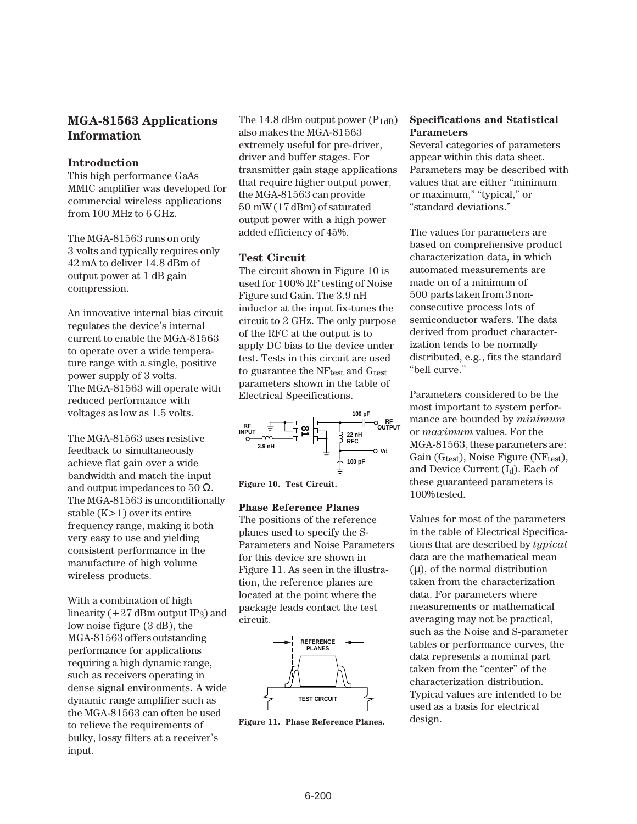## **MGA-81563 Applications Information**

## **Introduction**

This high performance GaAs MMIC amplifier was developed for commercial wireless applications from 100 MHz to 6 GHz.

The MGA-81563 runs on only 3␣ volts and typically requires only 42 mA to deliver 14.8 dBm of output power at 1 dB gain compression.

An innovative internal bias circuit regulates the device's internal current to enable the MGA-81563 to operate over a wide temperature range with a single, positive power supply of 3 volts. The MGA-81563 will operate with reduced performance with voltages as low as 1.5 volts.

The MGA-81563 uses resistive feedback to simultaneously achieve flat gain over a wide bandwidth and match the input and output impedances to 50  $\Omega$ . The MGA-81563 is unconditionally stable (K>1) over its entire frequency range, making it both very easy to use and yielding consistent performance in the manufacture of high volume wireless products.

With a combination of high linearity  $(+27$  dBm output IP<sub>3</sub>) and low noise figure (3 dB), the MGA-81563 offers outstanding performance for applications requiring a high dynamic range, such as receivers operating in dense signal environments. A wide dynamic range amplifier such as the MGA-81563 can often be used to relieve the requirements of bulky, lossy filters at a receiver's input.

The 14.8 dBm output power  $(P_{1dB})$ also makes the MGA-81563 extremely useful for pre-driver, driver and buffer stages. For transmitter gain stage applications that require higher output power, the MGA-81563 can provide 50␣ mW (17 dBm) of saturated output power with a high power added efficiency of 45%.

## **Test Circuit**

The circuit shown in Figure 10 is used for 100% RF testing of Noise Figure and Gain. The 3.9 nH inductor at the input fix-tunes the circuit to 2 GHz. The only purpose of the RFC at the output is to apply DC bias to the device under test. Tests in this circuit are used to guarantee the NFtest and Gtest parameters shown in the table of Electrical Specifications.



**Figure 10. Test Circuit.**

### **Phase Reference Planes**

The positions of the reference planes used to specify the S-Parameters and Noise Parameters for this device are shown in Figure 11. As seen in the illustration, the reference planes are located at the point where the package leads contact the test circuit.



**Figure 11. Phase Reference Planes.**

## **Specifications and Statistical Parameters**

Several categories of parameters appear within this data sheet. Parameters may be described with values that are either "minimum or maximum," "typical," or "standard deviations."

The values for parameters are based on comprehensive product characterization data, in which automated measurements are made on of a minimum of 500␣ parts taken from 3 nonconsecutive process lots of semiconductor wafers. The data derived from product characterization tends to be normally distributed, e.g., fits the standard "bell curve."

Parameters considered to be the most important to system performance are bounded by *minimum* or *maximum* values. For the MGA-81563, these parameters are: Gain ( $G_{\text{test}}$ ), Noise Figure (N $F_{\text{test}}$ ), and Device Current (Id). Each of these guaranteed parameters is 100% tested.

Values for most of the parameters in the table of Electrical Specifications that are described by *typical* data are the mathematical mean  $(\mu)$ , of the normal distribution taken from the characterization data. For parameters where measurements or mathematical averaging may not be practical, such as the Noise and S-parameter tables or performance curves, the data represents a nominal part taken from the "center" of the characterization distribution. Typical values are intended to be used as a basis for electrical design.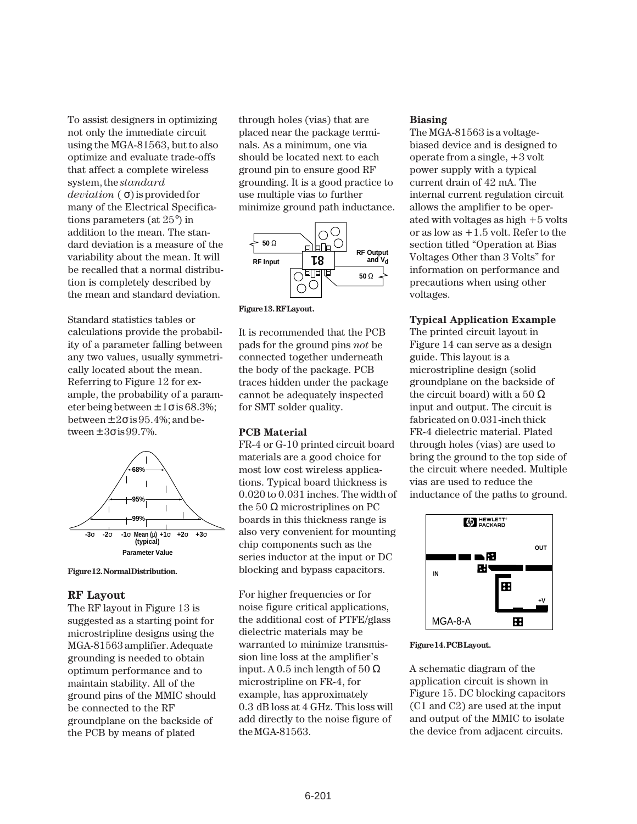To assist designers in optimizing not only the immediate circuit using the MGA-81563, but to also optimize and evaluate trade-offs that affect a complete wireless system, the *standard deviation*␣ ( σ) is provided for many of the Electrical Specifications parameters (at 25°) in addition to the mean. The standard deviation is a measure of the variability about the mean. It will be recalled that a normal distribution is completely described by the mean and standard deviation.

Standard statistics tables or calculations provide the probability of a parameter falling between any two values, usually symmetrically located about the mean. Referring to Figure 12 for example, the probability of a parameter being between  $\pm 1\sigma$  is 68.3%; between  $\pm 2\sigma$  is 95.4%; and between  $\pm 3\sigma$  is 99.7%.



**Figure 12. Normal Distribution.**

#### **RF Layout**

The RF layout in Figure 13 is suggested as a starting point for microstripline designs using the MGA-81563 amplifier. Adequate grounding is needed to obtain optimum performance and to maintain stability. All of the ground pins of the MMIC should be connected to the RF groundplane on the backside of the PCB by means of plated

through holes (vias) that are placed near the package terminals. As a minimum, one via should be located next to each ground pin to ensure good RF grounding. It is a good practice to use multiple vias to further minimize ground path inductance.



**Figure 13. RF Layout.**

It is recommended that the PCB pads for the ground pins *not* be connected together underneath the body of the package. PCB traces hidden under the package cannot be adequately inspected for SMT solder quality.

### **PCB Material**

FR-4 or G-10 printed circuit board materials are a good choice for most low cost wireless applications. Typical board thickness is 0.020 to 0.031 inches. The width of the  $50 \Omega$  microstriplines on PC boards in this thickness range is also very convenient for mounting chip components such as the series inductor at the input or DC blocking and bypass capacitors.

For higher frequencies or for noise figure critical applications, the additional cost of PTFE/glass dielectric materials may be warranted to minimize transmission line loss at the amplifier's input. A 0.5 inch length of  $50 \Omega$ microstripline on FR-4, for example, has approximately 0.3␣ dB loss at 4 GHz. This loss will add directly to the noise figure of the MGA-81563.

#### **Biasing**

The MGA-81563 is a voltagebiased device and is designed to operate from a single, +3 volt power supply with a typical current drain of 42 mA. The internal current regulation circuit allows the amplifier to be operated with voltages as high +5 volts or as low as +1.5 volt. Refer to the section titled "Operation at Bias Voltages Other than 3 Volts" for information on performance and precautions when using other voltages.

#### **Typical Application Example**

The printed circuit layout in Figure 14 can serve as a design guide. This layout is a microstripline design (solid groundplane on the backside of the circuit board) with a 50  $\Omega$ input and output. The circuit is fabricated on 0.031-inch thick FR-4 dielectric material. Plated through holes (vias) are used to bring the ground to the top side of the circuit where needed. Multiple vias are used to reduce the inductance of the paths to ground.



#### **Figure 14. PCB Layout.**

A schematic diagram of the application circuit is shown in Figure 15. DC blocking capacitors (C1 and C2) are used at the input and output of the MMIC to isolate the device from adjacent circuits.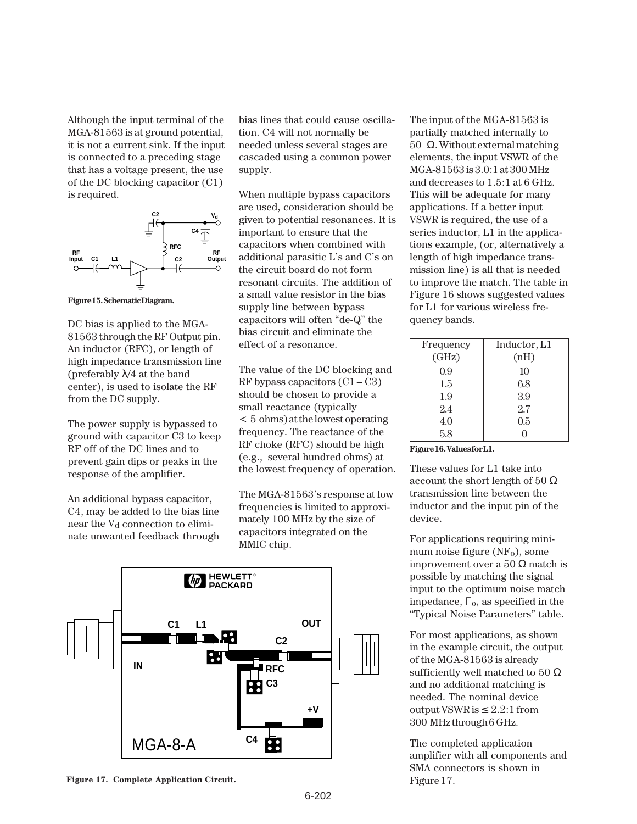Although the input terminal of the MGA-81563 is at ground potential, it is not a current sink. If the input is connected to a preceding stage that has a voltage present, the use of the DC blocking capacitor (C1) is required.



**Figure 15. Schematic Diagram.**

DC bias is applied to the MGA-81563 through the RF Output pin. An inductor (RFC), or length of high impedance transmission line (preferably  $\lambda/4$  at the band center), is used to isolate the RF from the DC supply.

The power supply is bypassed to ground with capacitor C3 to keep RF off of the DC lines and to prevent gain dips or peaks in the response of the amplifier.

An additional bypass capacitor, C4, may be added to the bias line near the V<sub>d</sub> connection to eliminate unwanted feedback through bias lines that could cause oscillation. C4 will not normally be needed unless several stages are cascaded using a common power supply.

When multiple bypass capacitors are used, consideration should be given to potential resonances. It is important to ensure that the capacitors when combined with additional parasitic L's and C's on the circuit board do not form resonant circuits. The addition of a small value resistor in the bias supply line between bypass capacitors will often "de-Q" the bias circuit and eliminate the effect of a resonance.

The value of the DC blocking and RF bypass capacitors  $(C1 - C3)$ should be chosen to provide a small reactance (typically <␣ 5␣ ohms) at the lowest operating frequency. The reactance of the RF choke (RFC) should be high (e.g., several hundred ohms) at the lowest frequency of operation.

The MGA-81563's response at low frequencies is limited to approximately 100 MHz by the size of capacitors integrated on the MMIC chip.



**Figure 17. Complete Application Circuit.**

The input of the MGA-81563 is partially matched internally to  $50$  Ω. Without external matching elements, the input VSWR of the MGA-81563 is 3.0:1 at 300 MHz and decreases to 1.5:1 at 6 GHz. This will be adequate for many applications. If a better input VSWR is required, the use of a series inductor, L1 in the applications example, (or, alternatively a length of high impedance transmission line) is all that is needed to improve the match. The table in Figure 16 shows suggested values for L1 for various wireless frequency bands.

| Frequency | Inductor, L1 |
|-----------|--------------|
| (GHz)     | (nH)         |
| 0.9       | 10           |
| 1.5       | 6.8          |
| 1.9       | 3.9          |
| 2.4       | 2.7          |
| 4.0       | 0.5          |
| 5.8       |              |

Figure 16. Values for L1.

These values for L1 take into account the short length of 50  $\Omega$ transmission line between the inductor and the input pin of the device.

For applications requiring minimum noise figure  $(NF_0)$ , some improvement over a 50  $Ω$  match is possible by matching the signal input to the optimum noise match impedance,  $\Gamma_0$ , as specified in the "Typical Noise Parameters" table.

For most applications, as shown in the example circuit, the output of the MGA-81563 is already sufficiently well matched to 50  $\Omega$ and no additional matching is needed. The nominal device output VSWR is ≤ 2.2:1 from 300␣ MHz through 6 GHz.

The completed application amplifier with all components and SMA connectors is shown in Figure 17.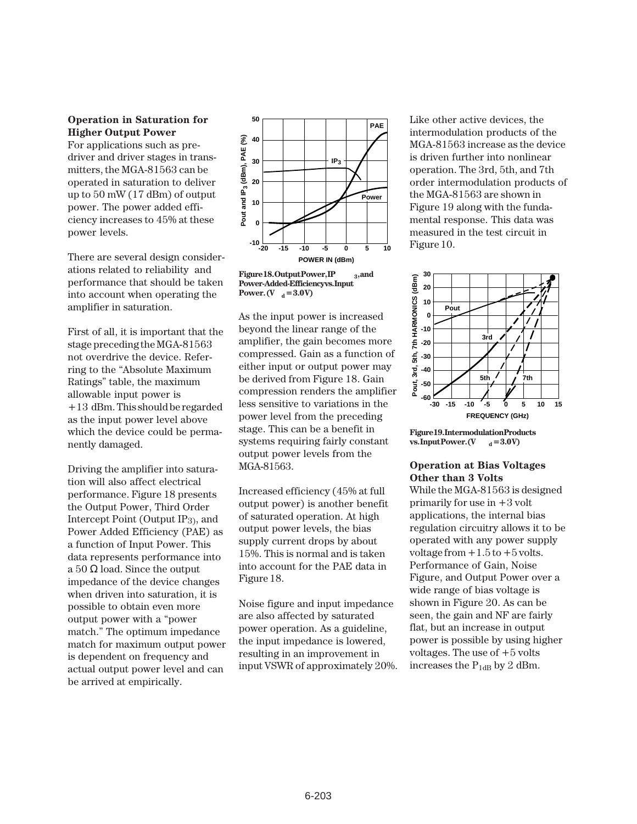#### **Operation in Saturation for Higher Output Power**

For applications such as predriver and driver stages in transmitters, the MGA-81563 can be operated in saturation to deliver up to 50 mW (17 dBm) of output power. The power added efficiency increases to 45% at these power levels.

There are several design considerations related to reliability and performance that should be taken into account when operating the amplifier in saturation.

First of all, it is important that the stage preceding the MGA-81563 not overdrive the device. Referring to the "Absolute Maximum Ratings" table, the maximum allowable input power is +13␣ dBm. This should be regarded as the input power level above which the device could be permanently damaged.

Driving the amplifier into saturation will also affect electrical performance. Figure 18 presents the Output Power, Third Order Intercept Point (Output IP3), and Power Added Efficiency (PAE) as a function of Input Power. This data represents performance into a 50  $\Omega$  load. Since the output impedance of the device changes when driven into saturation, it is possible to obtain even more output power with a "power match." The optimum impedance match for maximum output power is dependent on frequency and actual output power level and can be arrived at empirically.



**Figure 18. Output Power, IP 3, and Power-Added-Efficiency vs. Input Power.** (**V**  $_{d} = 3.0 \text{V}$ )

As the input power is increased beyond the linear range of the amplifier, the gain becomes more compressed. Gain as a function of either input or output power may be derived from Figure 18. Gain compression renders the amplifier less sensitive to variations in the power level from the preceding stage. This can be a benefit in systems requiring fairly constant output power levels from the MGA-81563.

Increased efficiency (45% at full output power) is another benefit of saturated operation. At high output power levels, the bias supply current drops by about 15%. This is normal and is taken into account for the PAE data in Figure 18.

Noise figure and input impedance are also affected by saturated power operation. As a guideline, the input impedance is lowered, resulting in an improvement in input VSWR of approximately 20%. Like other active devices, the intermodulation products of the MGA-81563 increase as the device is driven further into nonlinear operation. The 3rd, 5th, and 7th order intermodulation products of the MGA-81563 are shown in Figure 19 along with the fundamental response. This data was measured in the test circuit in Figure 10.



**Figure 19. Intermodulation Products vs. Input Power. (V**  $d = 3.0 V$ )

### **Operation at Bias Voltages Other than 3 Volts**

While the MGA-81563 is designed primarily for use in +3 volt applications, the internal bias regulation circuitry allows it to be operated with any power supply voltage from  $+1.5$  to  $+5$  volts. Performance of Gain, Noise Figure, and Output Power over a wide range of bias voltage is shown in Figure 20. As can be seen, the gain and NF are fairly flat, but an increase in output power is possible by using higher voltages. The use of  $+5$  volts increases the  $P_{1dB}$  by 2 dBm.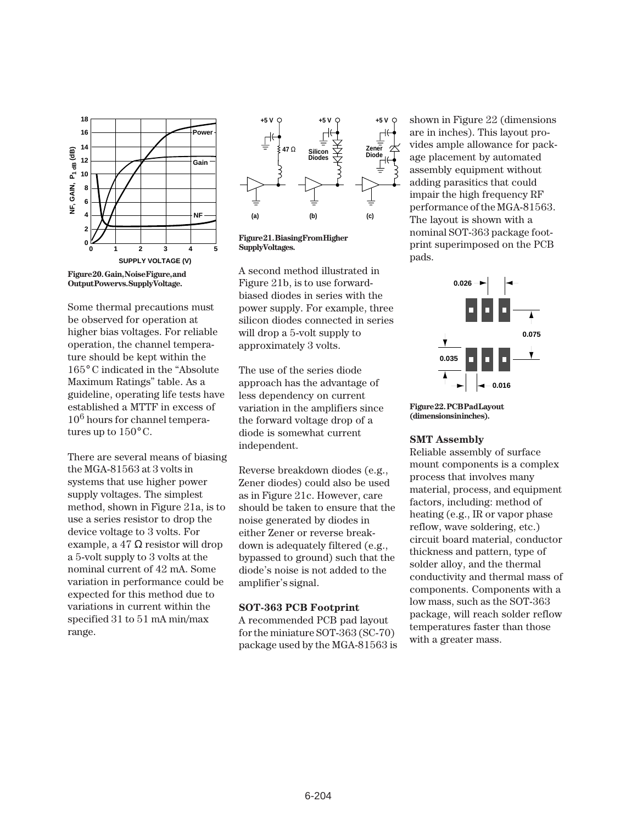

**Output Power vs. Supply Voltage.**

Some thermal precautions must be observed for operation at higher bias voltages. For reliable operation, the channel temperature should be kept within the 165° C indicated in the "Absolute Maximum Ratings" table. As a guideline, operating life tests have established a MTTF in excess of 106 hours for channel temperatures up to  $150^{\circ}$  C.

There are several means of biasing the MGA-81563 at 3 volts in systems that use higher power supply voltages. The simplest method, shown in Figure 21a, is to use a series resistor to drop the device voltage to 3 volts. For example, a 47  $\Omega$  resistor will drop a 5-volt supply to 3 volts at the nominal current of 42 mA. Some variation in performance could be expected for this method due to variations in current within the specified 31 to 51 mA min/max range.



**Figure 21. Biasing From Higher Supply Voltages.**

A second method illustrated in Figure 21b, is to use forwardbiased diodes in series with the power supply. For example, three silicon diodes connected in series will drop a 5-volt supply to approximately 3 volts.

The use of the series diode approach has the advantage of less dependency on current variation in the amplifiers since the forward voltage drop of a diode is somewhat current independent.

Reverse breakdown diodes (e.g., Zener diodes) could also be used as in Figure 21c. However, care should be taken to ensure that the noise generated by diodes in either Zener or reverse breakdown is adequately filtered (e.g., bypassed to ground) such that the diode's noise is not added to the amplifier's signal.

#### **SOT-363 PCB Footprint**

A recommended PCB pad layout for the miniature SOT-363 (SC-70) package used by the MGA-81563 is shown in Figure 22 (dimensions are in inches). This layout provides ample allowance for package placement by automated assembly equipment without adding parasitics that could impair the high frequency RF performance of the MGA-81563. The layout is shown with a nominal SOT-363 package footprint superimposed on the PCB pads.



**Figure 22. PCB Pad Layout** (dimensions in inches).

#### **SMT Assembly**

Reliable assembly of surface mount components is a complex process that involves many material, process, and equipment factors, including: method of heating (e.g., IR or vapor phase reflow, wave soldering, etc.) circuit board material, conductor thickness and pattern, type of solder alloy, and the thermal conductivity and thermal mass of components. Components with a low mass, such as the SOT-363 package, will reach solder reflow temperatures faster than those with a greater mass.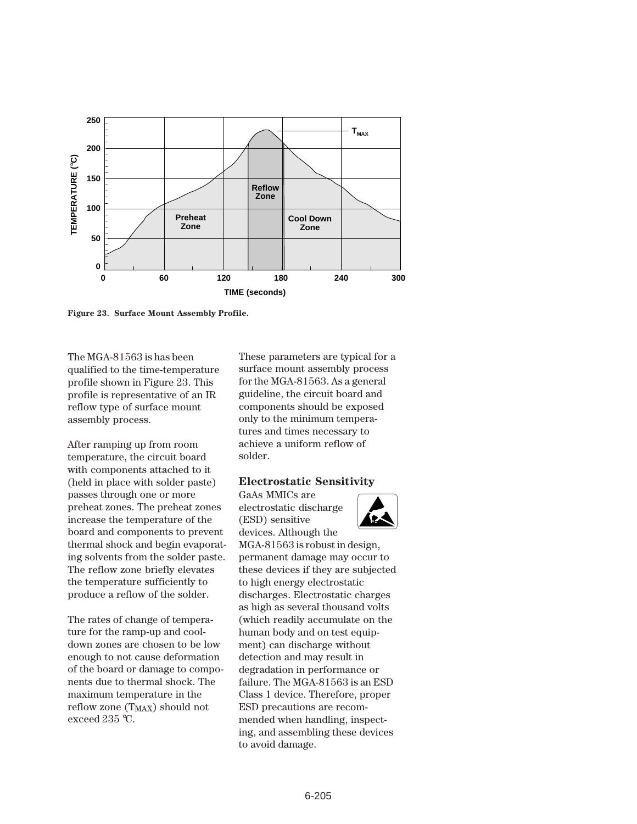

**Figure 23. Surface Mount Assembly Profile.**

The MGA-81563 is has been qualified to the time-temperature profile shown in Figure 23. This profile is representative of an IR reflow type of surface mount assembly process.

After ramping up from room temperature, the circuit board with components attached to it (held in place with solder paste) passes through one or more preheat zones. The preheat zones increase the temperature of the board and components to prevent thermal shock and begin evaporating solvents from the solder paste. The reflow zone briefly elevates the temperature sufficiently to produce a reflow of the solder.

The rates of change of temperature for the ramp-up and cooldown zones are chosen to be low enough to not cause deformation of the board or damage to components due to thermal shock. The maximum temperature in the reflow zone (T<sub>MAX</sub>) should not exceed 235 °C.

These parameters are typical for a surface mount assembly process for the MGA-81563. As a general guideline, the circuit board and components should be exposed only to the minimum temperatures and times necessary to achieve a uniform reflow of solder.

### **Electrostatic Sensitivity**

GaAs MMICs are electrostatic discharge (ESD) sensitive devices. Although the



MGA-81563 is robust in design, permanent damage may occur to these devices if they are subjected to high energy electrostatic discharges. Electrostatic charges as high as several thousand volts (which readily accumulate on the human body and on test equipment) can discharge without detection and may result in degradation in performance or failure. The MGA-81563 is an ESD Class 1 device. Therefore, proper ESD precautions are recommended when handling, inspecting, and assembling these devices to avoid damage.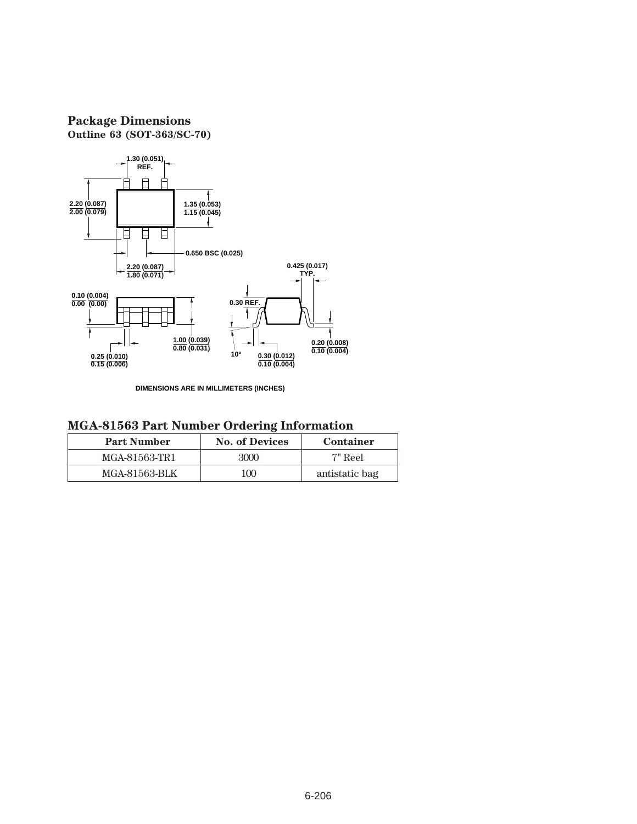## **Package Dimensions Outline 63 (SOT-363/SC-70)**



**DIMENSIONS ARE IN MILLIMETERS (INCHES)**

| <b>Part Number</b> | <b>No. of Devices</b> | Container      |
|--------------------|-----------------------|----------------|
| MGA-81563-TR1      | 3000                  | 7" Reel        |
| MGA-81563-BLK      | 100                   | antistatic bag |